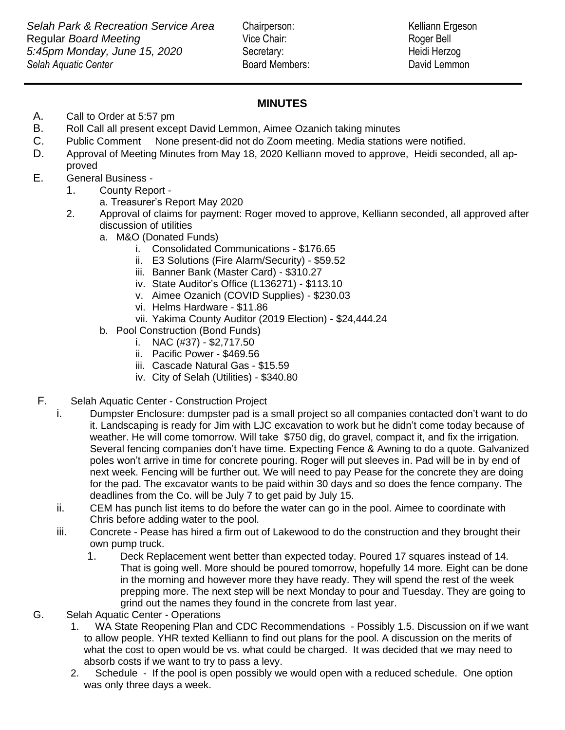## **MINUTES**

A. Call to Order at 5:57 pm

- B. Roll Call all present except David Lemmon, Aimee Ozanich taking minutes
- C. Public Comment None present-did not do Zoom meeting. Media stations were notified.
- D. Approval of Meeting Minutes from May 18, 2020 Kelliann moved to approve, Heidi seconded, all approved
- E. General Business
	- 1. County Report
		- a. Treasurer's Report May 2020
	- 2. Approval of claims for payment: Roger moved to approve, Kelliann seconded, all approved after discussion of utilities
		- a. M&O (Donated Funds)
			- i. Consolidated Communications \$176.65
			- ii. E3 Solutions (Fire Alarm/Security) \$59.52
			- iii. Banner Bank (Master Card) \$310.27
			- iv. State Auditor's Office (L136271) \$113.10
			- v. Aimee Ozanich (COVID Supplies) \$230.03
			- vi. Helms Hardware \$11.86
			- vii. Yakima County Auditor (2019 Election) \$24,444.24
		- b. Pool Construction (Bond Funds)
			- i. NAC  $(\#37) $2,717.50$
			- ii. Pacific Power \$469.56
			- iii. Cascade Natural Gas \$15.59
			- iv. City of Selah (Utilities) \$340.80
- F. Selah Aquatic Center Construction Project
	- i. Dumpster Enclosure: dumpster pad is a small project so all companies contacted don't want to do it. Landscaping is ready for Jim with LJC excavation to work but he didn't come today because of weather. He will come tomorrow. Will take \$750 dig, do gravel, compact it, and fix the irrigation. Several fencing companies don't have time. Expecting Fence & Awning to do a quote. Galvanized poles won't arrive in time for concrete pouring. Roger will put sleeves in. Pad will be in by end of next week. Fencing will be further out. We will need to pay Pease for the concrete they are doing for the pad. The excavator wants to be paid within 30 days and so does the fence company. The deadlines from the Co. will be July 7 to get paid by July 15.
	- ii. CEM has punch list items to do before the water can go in the pool. Aimee to coordinate with Chris before adding water to the pool.
	- iii. Concrete Pease has hired a firm out of Lakewood to do the construction and they brought their own pump truck.
		- 1. Deck Replacement went better than expected today. Poured 17 squares instead of 14. That is going well. More should be poured tomorrow, hopefully 14 more. Eight can be done in the morning and however more they have ready. They will spend the rest of the week prepping more. The next step will be next Monday to pour and Tuesday. They are going to grind out the names they found in the concrete from last year.
- G. Selah Aquatic Center Operations
	- 1. WA State Reopening Plan and CDC Recommendations Possibly 1.5. Discussion on if we want to allow people. YHR texted Kelliann to find out plans for the pool. A discussion on the merits of what the cost to open would be vs. what could be charged. It was decided that we may need to absorb costs if we want to try to pass a levy.
	- 2. Schedule If the pool is open possibly we would open with a reduced schedule. One option was only three days a week.